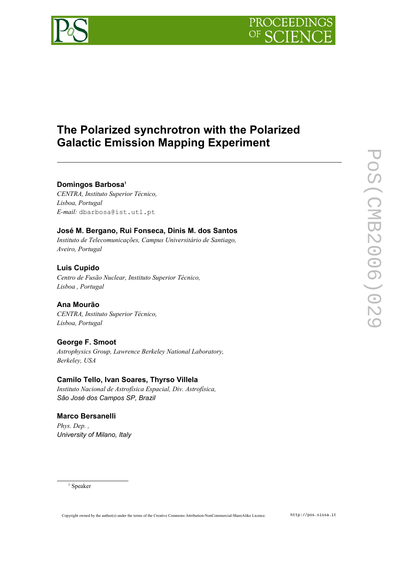



# **The Polarized synchrotron with the Polarized Galactic Emission Mapping Experiment**

#### **Domingos Barbosa [1](#page-0-0)**

*CENTRA, Instituto Superior Técnico, Lisboa, Portugal E-mail:* dbarbosa@ist.utl.pt

# **José M. Bergano, Rui Fonseca, Dinis M. dos Santos**

*Instituto de Telecomunicações, Campus Universitário de Santiago, Aveiro, Portugal*

# **Luis Cupido**

*Centro de Fusão Nuclear, Instituto Superior Técnico, Lisboa , Portugal*

# **Ana Mourão**

*CENTRA, Instituto Superior Técnico, Lisboa, Portugal*

# **George F. Smoot**

*Astrophysics Group, Lawrence Berkeley National Laboratory, Berkeley, USA*

# **Camilo Tello, Ivan Soares, Thyrso Villela**

*Instituto Nacional de Astrofísica Espacial, Div. Astrofísica, São José dos Campos SP, Brazil*

# **Marco Bersanelli**

*Phys. Dep. , University of Milano, Italy*

<span id="page-0-0"></span>1 Speaker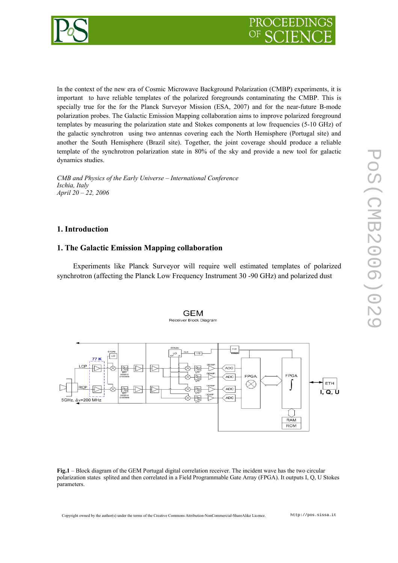



In the context of the new era of Cosmic Microwave Background Polarization (CMBP) experiments, it is important to have reliable templates of the polarized foregrounds contaminating the CMBP. This is specially true for the for the Planck Surveyor Mission (ESA, 2007) and for the near-future B-mode polarization probes. The Galactic Emission Mapping collaboration aims to improve polarized foreground templates by measuring the polarization state and Stokes components at low frequencies (5-10 GHz) of the galactic synchrotron using two antennas covering each the North Hemisphere (Portugal site) and another the South Hemisphere (Brazil site). Together, the joint coverage should produce a reliable template of the synchrotron polarization state in 80% of the sky and provide a new tool for galactic dynamics studies.

*CMB and Physics of the Early Universe – International Conference Ischia, Italy April 20 – 22, 2006*

#### **1. Introduction**

#### **1. The Galactic Emission Mapping collaboration**

Experiments like Planck Surveyor will require well estimated templates of polarized synchrotron (affecting the Planck Low Frequency Instrument 30 -90 GHz) and polarized dust

> **GEM** Receiver Block Diagram



**Fig.1** – Block diagram of the GEM Portugal digital correlation receiver. The incident wave has the two circular polarization states splited and then correlated in a Field Programmable Gate Array (FPGA). It outputs I, Q, U Stokes parameters.

Copyright owned by the author(s) under the terms of the Creative Commons Attribution-NonCommercial-ShareAlike Licence. http://pos.sissa.it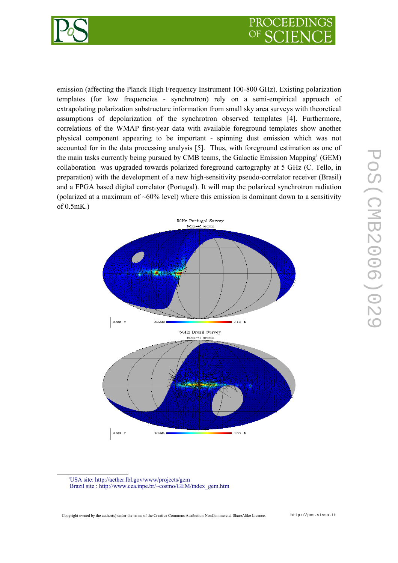

emission (affecting the Planck High Frequency Instrument 100-800 GHz). Existing polarization templates (for low frequencies - synchrotron) rely on a semi-empirical approach of extrapolating polarization substructure information from small sky area surveys with theoretical assumptions of depolarization of the synchrotron observed templates [4]. Furthermore, correlations of the WMAP first-year data with available foreground templates show another physical component appearing to be important - spinning dust emission which was not accounted for in the data processing analysis [5]. Thus, with foreground estimation as one of the main tasks currently being pursued by CMB teams, the Galactic Emission Mapping<sup>[1](#page-2-0)</sup> (GEM) collaboration was upgraded towards polarized foreground cartography at 5 GHz (C. Tello, in preparation) with the development of a new high-sensitivity pseudo-correlator receiver (Brasil) and a FPGA based digital correlator (Portugal). It will map the polarized synchrotron radiation (polarized at a maximum of  $\sim 60\%$  level) where this emission is dominant down to a sensitivity of 0.5mK.)



<span id="page-2-0"></span><sup>1</sup>[USA site: http://aether.lbl.gov/www/projects/gem](http://aether.lbl.gov/) Brazil site : http://www.cea.inpe.br/~cosmo/GEM/index\_gem.htm